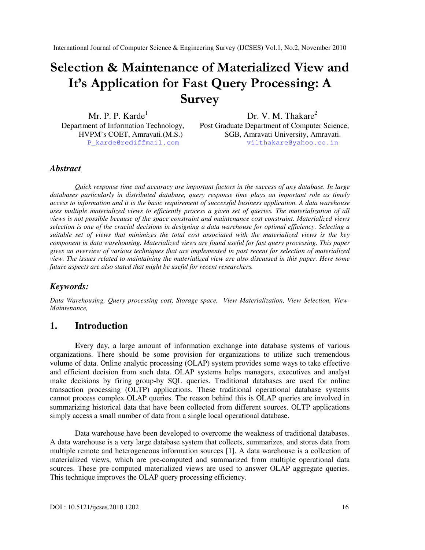# Selection & Maintenance of Materialized View and It's Application for Fast Query Processing: A **Survey**

Mr. P. P. Karde<sup>1</sup> P\_karde@rediffmail.com

Dr. V. M. Thakare<sup>2</sup> Department of Information Technology, Post Graduate Department of Computer Science, HVPM's COET, Amravati.(M.S.) SGB, Amravati University, Amravati.<br>
P karde@rediffmail.com vilthakare@yahoo.co.in

### *Abstract*

*Quick response time and accuracy are important factors in the success of any database. In large databases particularly in distributed database, query response time plays an important role as timely access to information and it is the basic requirement of successful business application. A data warehouse uses multiple materialized views to efficiently process a given set of queries. The materialization of all views is not possible because of the space constraint and maintenance cost constraint. Materialized views selection is one of the crucial decisions in designing a data warehouse for optimal efficiency. Selecting a suitable set of views that minimizes the total cost associated with the materialized views is the key component in data warehousing. Materialized views are found useful for fast query processing. This paper gives an overview of various techniques that are implemented in past recent for selection of materialized view. The issues related to maintaining the materialized view are also discussed in this paper. Here some future aspects are also stated that might be useful for recent researchers.* 

### *Keywords:*

*Data Warehousing, Query processing cost, Storage space, View Materialization, View Selection, View-Maintenance,* 

## **1. Introduction**

**E**very day, a large amount of information exchange into database systems of various organizations. There should be some provision for organizations to utilize such tremendous volume of data. Online analytic processing (OLAP) system provides some ways to take effective and efficient decision from such data. OLAP systems helps managers, executives and analyst make decisions by firing group-by SQL queries. Traditional databases are used for online transaction processing (OLTP) applications. These traditional operational database systems cannot process complex OLAP queries. The reason behind this is OLAP queries are involved in summarizing historical data that have been collected from different sources. OLTP applications simply access a small number of data from a single local operational database.

Data warehouse have been developed to overcome the weakness of traditional databases. A data warehouse is a very large database system that collects, summarizes, and stores data from multiple remote and heterogeneous information sources [1]. A data warehouse is a collection of materialized views, which are pre-computed and summarized from multiple operational data sources. These pre-computed materialized views are used to answer OLAP aggregate queries. This technique improves the OLAP query processing efficiency.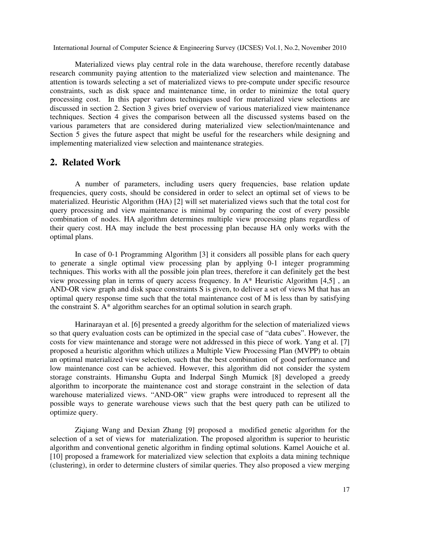Materialized views play central role in the data warehouse, therefore recently database research community paying attention to the materialized view selection and maintenance. The attention is towards selecting a set of materialized views to pre-compute under specific resource constraints, such as disk space and maintenance time, in order to minimize the total query processing cost. In this paper various techniques used for materialized view selections are discussed in section 2. Section 3 gives brief overview of various materialized view maintenance techniques. Section 4 gives the comparison between all the discussed systems based on the various parameters that are considered during materialized view selection/maintenance and Section 5 gives the future aspect that might be useful for the researchers while designing and implementing materialized view selection and maintenance strategies.

## **2. Related Work**

A number of parameters, including users query frequencies, base relation update frequencies, query costs, should be considered in order to select an optimal set of views to be materialized. Heuristic Algorithm (HA) [2] will set materialized views such that the total cost for query processing and view maintenance is minimal by comparing the cost of every possible combination of nodes. HA algorithm determines multiple view processing plans regardless of their query cost. HA may include the best processing plan because HA only works with the optimal plans.

In case of 0-1 Programming Algorithm [3] it considers all possible plans for each query to generate a single optimal view processing plan by applying 0-1 integer programming techniques. This works with all the possible join plan trees, therefore it can definitely get the best view processing plan in terms of query access frequency. In  $A^*$  Heuristic Algorithm [4,5], an AND-OR view graph and disk space constraints S is given, to deliver a set of views M that has an optimal query response time such that the total maintenance cost of M is less than by satisfying the constraint S. A\* algorithm searches for an optimal solution in search graph.

Harinarayan et al. [6] presented a greedy algorithm for the selection of materialized views so that query evaluation costs can be optimized in the special case of "data cubes". However, the costs for view maintenance and storage were not addressed in this piece of work. Yang et al. [7] proposed a heuristic algorithm which utilizes a Multiple View Processing Plan (MVPP) to obtain an optimal materialized view selection, such that the best combination of good performance and low maintenance cost can be achieved. However, this algorithm did not consider the system storage constraints. Himanshu Gupta and Inderpal Singh Mumick [8] developed a greedy algorithm to incorporate the maintenance cost and storage constraint in the selection of data warehouse materialized views. "AND-OR" view graphs were introduced to represent all the possible ways to generate warehouse views such that the best query path can be utilized to optimize query.

Ziqiang Wang and Dexian Zhang [9] proposed a modified genetic algorithm for the selection of a set of views for materialization. The proposed algorithm is superior to heuristic algorithm and conventional genetic algorithm in finding optimal solutions. Kamel Aouiche et al. [10] proposed a framework for materialized view selection that exploits a data mining technique (clustering), in order to determine clusters of similar queries. They also proposed a view merging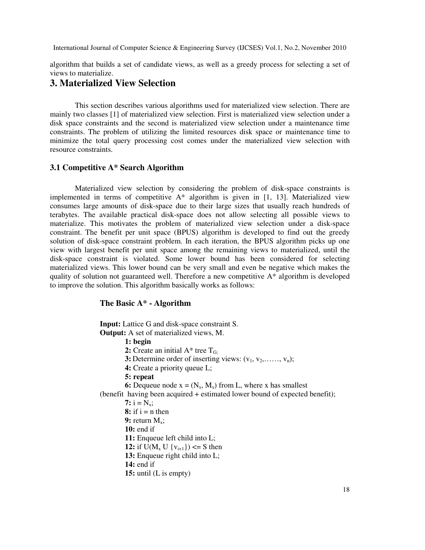algorithm that builds a set of candidate views, as well as a greedy process for selecting a set of views to materialize.

## **3. Materialized View Selection**

This section describes various algorithms used for materialized view selection. There are mainly two classes [1] of materialized view selection. First is materialized view selection under a disk space constraints and the second is materialized view selection under a maintenance time constraints. The problem of utilizing the limited resources disk space or maintenance time to minimize the total query processing cost comes under the materialized view selection with resource constraints.

#### **3.1 Competitive A\* Search Algorithm**

Materialized view selection by considering the problem of disk-space constraints is implemented in terms of competitive  $A^*$  algorithm is given in [1, 13]. Materialized view consumes large amounts of disk-space due to their large sizes that usually reach hundreds of terabytes. The available practical disk-space does not allow selecting all possible views to materialize. This motivates the problem of materialized view selection under a disk-space constraint. The benefit per unit space (BPUS) algorithm is developed to find out the greedy solution of disk-space constraint problem. In each iteration, the BPUS algorithm picks up one view with largest benefit per unit space among the remaining views to materialized, until the disk-space constraint is violated. Some lower bound has been considered for selecting materialized views. This lower bound can be very small and even be negative which makes the quality of solution not guaranteed well. Therefore a new competitive A\* algorithm is developed to improve the solution. This algorithm basically works as follows:

#### **The Basic A\* - Algorithm**

**Input:** Lattice G and disk-space constraint S. **Output:** A set of materialized views, M.  **1: begin 2:** Create an initial  $A^*$  tree  $T_{\text{G}}$ **3:** Determine order of inserting views:  $(v_1, v_2, \ldots, v_n)$ ;  **4:** Create a priority queue L;  **5: repeat 6:** Dequeue node  $x = (N_x, M_x)$  from L, where x has smallest (benefit having been acquired + estimated lower bound of expected benefit);  $7: i = N_{x}$ ; **8:** if  $i = n$  then  **9:** return Mx;  **10:** end if  **11:** Enqueue left child into L; **12:** if  $U(M_x U \{v_{i+1}\}) \le S$  then  **13:** Enqueue right child into L;  **14:** end if  **15:** until (L is empty)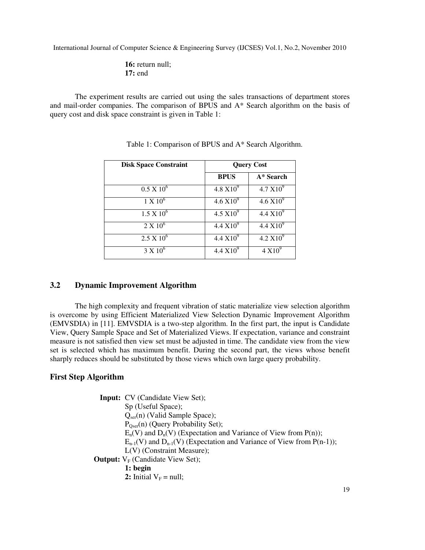**16:** return null;  **17:** end

The experiment results are carried out using the sales transactions of department stores and mail-order companies. The comparison of BPUS and A\* Search algorithm on the basis of query cost and disk space constraint is given in Table 1:

| <b>Disk Space Constraint</b> | <b>Query Cost</b>    |                      |
|------------------------------|----------------------|----------------------|
|                              | <b>BPUS</b>          | A* Search            |
| $0.5 \times 10^6$            | 4.8 X10 <sup>9</sup> | $4.7 X10^{9}$        |
| $1 X 10^6$                   | $4.6 X10^{9}$        | $4.6 \times 10^{9}$  |
| $1.5 \times 10^6$            | $4.5 X10^{9}$        | 4.4 $X10^9$          |
| $2 X 10^6$                   | 4.4 X10 <sup>9</sup> | 4.4 X10 <sup>9</sup> |
| $2.5 \times 10^6$            | 4.4 X10 <sup>9</sup> | 4.2 X10 <sup>9</sup> |
| $3 X 10^{6}$                 | $4.4 X10^{9}$        | $4 \times 10^9$      |

Table 1: Comparison of BPUS and A\* Search Algorithm.

### **3.2 Dynamic Improvement Algorithm**

The high complexity and frequent vibration of static materialize view selection algorithm is overcome by using Efficient Materialized View Selection Dynamic Improvement Algorithm (EMVSDIA) in [11]. EMVSDIA is a two-step algorithm. In the first part, the input is Candidate View, Query Sample Space and Set of Materialized Views. If expectation, variance and constraint measure is not satisfied then view set must be adjusted in time. The candidate view from the view set is selected which has maximum benefit. During the second part, the views whose benefit sharply reduces should be substituted by those views which own large query probability.

## **First Step Algorithm**

 **Input:** CV (Candidate View Set); Sp (Useful Space); Qser(n) (Valid Sample Space);  $P_{Oser}(n)$  (Query Probability Set);  $E_n(V)$  and  $D_n(V)$  (Expectation and Variance of View from P(n));  $E_{n-1}(V)$  and  $D_{n-1}(V)$  (Expectation and Variance of View from P(n-1)); L(V) (Constraint Measure); **Output:**  $V_F$  (Candidate View Set); **1: begin 2:** Initial  $V_F$  = null;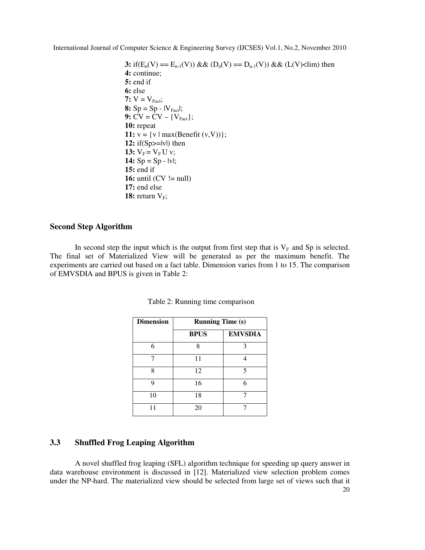3: if 
$$
(E_n(V)) = E_{n-1}(V)
$$
 & &  $(D_n(V)) = D_{n-1}(V)$  & &  $(L(V) < \lim)$  then  
4: continue;  
5: end if  
6: else  
7: V = V<sub>Fact</sub>;  
8: Sp = Sp - IV<sub>Fact</sub>;  
9: CV = CV - {V<sub>Fact</sub>};  
10: repeat  
11: v = {v | max(Benefit(v,V))};  
12: if (Sp>=|v|) then  
13: V<sub>F</sub> = V<sub>F</sub> U v;  
14: Sp = Sp - iv|;  
15: end if  
16: until (CV != null)  
17: end else  
18: return V<sub>F</sub>;

## **Second Step Algorithm**

In second step the input which is the output from first step that is  $V_F$  and Sp is selected. The final set of Materialized View will be generated as per the maximum benefit. The experiments are carried out based on a fact table. Dimension varies from 1 to 15. The comparison of EMVSDIA and BPUS is given in Table 2:

| <b>Dimension</b> | <b>Running Time (s)</b> |                |
|------------------|-------------------------|----------------|
|                  | <b>BPUS</b>             | <b>EMVSDIA</b> |
| 6                | Ջ                       | 3              |
|                  | 11                      |                |
| 8                | 12                      | 5              |
| q                | 16                      | 6              |
| 10               | 18                      |                |
| 11               | 20                      |                |

Table 2: Running time comparison

### **3.3 Shuffled Frog Leaping Algorithm**

A novel shuffled frog leaping (SFL) algorithm technique for speeding up query answer in data warehouse environment is discussed in [12]. Materialized view selection problem comes under the NP-hard. The materialized view should be selected from large set of views such that it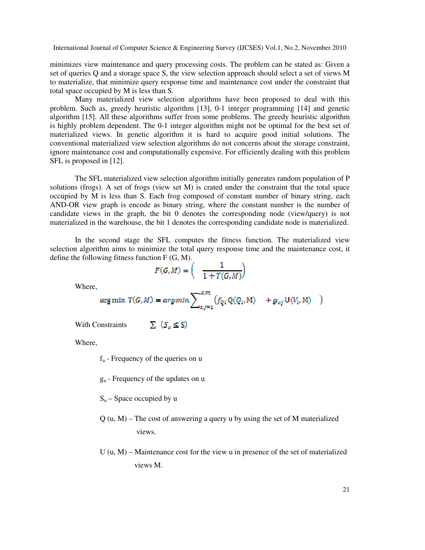minimizes view maintenance and query processing costs. The problem can be stated as: Given a set of queries Q and a storage space S, the view selection approach should select a set of views M to materialize, that minimize query response time and maintenance cost under the constraint that total space occupied by M is less than S.

Many materialized view selection algorithms have been proposed to deal with this problem. Such as, greedy heuristic algorithm [13], 0-1 integer programming [14] and genetic algorithm [15]. All these algorithms suffer from some problems. The greedy heuristic algorithm is highly problem dependent. The 0-1 integer algorithm might not be optimal for the best set of materialized views. In genetic algorithm it is hard to acquire good initial solutions. The conventional materialized view selection algorithms do not concerns about the storage constraint, ignore maintenance cost and computationally expensive. For efficiently dealing with this problem SFL is proposed in [12].

The SFL materialized view selection algorithm initially generates random population of P solutions (frogs). A set of frogs (view set M) is crated under the constraint that the total space occupied by M is less than S. Each frog composed of constant number of binary string, each AND-OR view graph is encode as binary string, where the constant number is the number of candidate views in the graph, the bit 0 denotes the corresponding node (view/query) is not materialized in the warehouse, the bit 1 denotes the corresponding candidate node is materialized.

In the second stage the SFL computes the fitness function. The materialized view selection algorithm aims to minimize the total query response time and the maintenance cost, it define the following fitness function F (G, M).<br> $F(G, M) = \begin{pmatrix} 1 & 1 \\ \frac{1}{1 + T(G, M)} \end{pmatrix}$ 

Where,

$$
\langle \mathbf{1} + \mathbf{1}(\mathbf{G}, \mathbf{M}) \rangle
$$
  
arg min  $\mathbf{T}(\mathbf{G}, \mathbf{M}) = \operatorname{argmin} \sum_{t,j=1}^{k,m} \left( f_{\mathbf{Q}t} \mathbf{Q}(\mathbf{Q}_i, \mathbf{M}) + g_{\mathbf{w}j} \mathbf{U}(V_t, \mathbf{M}) \right)$ 

 $\sum (S_n \leq S)$ With Constraints

Where,

- fu Frequency of the queries on u
- gu Frequency of the updates on u
- $S_u$  Space occupied by u
- Q (u, M) The cost of answering a query u by using the set of M materialized views.
- $U (u, M)$  Maintenance cost for the view u in presence of the set of materialized views M.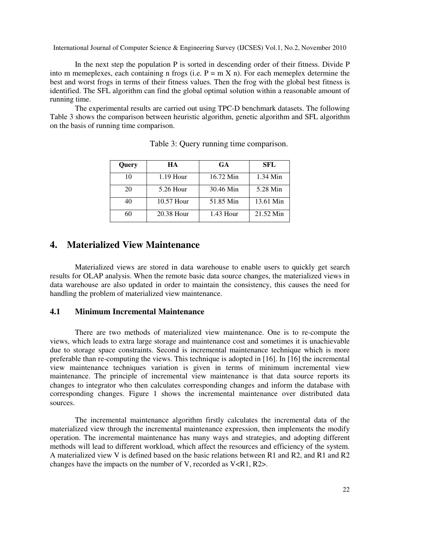In the next step the population P is sorted in descending order of their fitness. Divide P into m memeplexes, each containing n frogs (i.e.  $P = m X n$ ). For each memeplex determine the best and worst frogs in terms of their fitness values. Then the frog with the global best fitness is identified. The SFL algorithm can find the global optimal solution within a reasonable amount of running time.

The experimental results are carried out using TPC-D benchmark datasets. The following Table 3 shows the comparison between heuristic algorithm, genetic algorithm and SFL algorithm on the basis of running time comparison.

| <b>Query</b> | <b>HA</b>   | GA          | <b>SFL</b> |
|--------------|-------------|-------------|------------|
| 10           | $1.19$ Hour | 16.72 Min   | 1.34 Min   |
| 20           | 5.26 Hour   | 30.46 Min   | 5.28 Min   |
| 40           | 10.57 Hour  | 51.85 Min   | 13.61 Min  |
| 60           | 20.38 Hour  | $1.43$ Hour | 21.52 Min  |

|  |  | Table 3: Query running time comparison. |
|--|--|-----------------------------------------|
|  |  |                                         |
|  |  |                                         |

## **4. Materialized View Maintenance**

Materialized views are stored in data warehouse to enable users to quickly get search results for OLAP analysis. When the remote basic data source changes, the materialized views in data warehouse are also updated in order to maintain the consistency, this causes the need for handling the problem of materialized view maintenance.

#### **4.1 Minimum Incremental Maintenance**

There are two methods of materialized view maintenance. One is to re-compute the views, which leads to extra large storage and maintenance cost and sometimes it is unachievable due to storage space constraints. Second is incremental maintenance technique which is more preferable than re-computing the views. This technique is adopted in [16]. In [16] the incremental view maintenance techniques variation is given in terms of minimum incremental view maintenance. The principle of incremental view maintenance is that data source reports its changes to integrator who then calculates corresponding changes and inform the database with corresponding changes. Figure 1 shows the incremental maintenance over distributed data sources.

The incremental maintenance algorithm firstly calculates the incremental data of the materialized view through the incremental maintenance expression, then implements the modify operation. The incremental maintenance has many ways and strategies, and adopting different methods will lead to different workload, which affect the resources and efficiency of the system. A materialized view V is defined based on the basic relations between R1 and R2, and R1 and R2 changes have the impacts on the number of V, recorded as  $V < R1$ ,  $R2$ .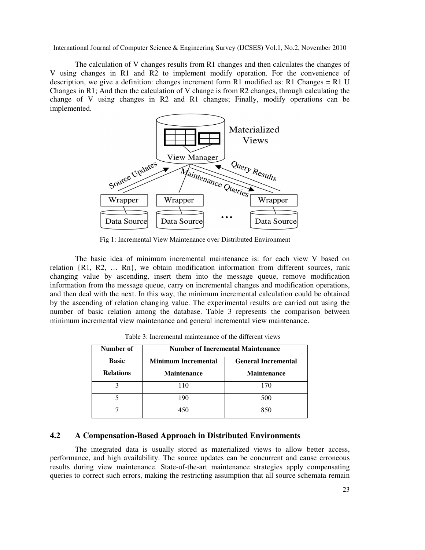The calculation of V changes results from R1 changes and then calculates the changes of V using changes in R1 and R2 to implement modify operation. For the convenience of description, we give a definition: changes increment form  $R1$  modified as:  $R1$  Changes =  $R1$  U Changes in R1; And then the calculation of V change is from R2 changes, through calculating the change of V using changes in R2 and R1 changes; Finally, modify operations can be implemented.



Fig 1: Incremental View Maintenance over Distributed Environment

The basic idea of minimum incremental maintenance is: for each view V based on relation {R1, R2, … Rn}, we obtain modification information from different sources, rank changing value by ascending, insert them into the message queue, remove modification information from the message queue, carry on incremental changes and modification operations, and then deal with the next. In this way, the minimum incremental calculation could be obtained by the ascending of relation changing value. The experimental results are carried out using the number of basic relation among the database. Table 3 represents the comparison between minimum incremental view maintenance and general incremental view maintenance.

| Number of        | <b>Number of Incremental Maintenance</b>                 |                    |  |
|------------------|----------------------------------------------------------|--------------------|--|
| <b>Basic</b>     | <b>Minimum Incremental</b><br><b>General Incremental</b> |                    |  |
| <b>Relations</b> | <b>Maintenance</b>                                       | <b>Maintenance</b> |  |
|                  | 110                                                      | 170                |  |
|                  | 190                                                      | 500                |  |
|                  |                                                          | 850                |  |

Table 3: Incremental maintenance of the different views

## **4.2 A Compensation-Based Approach in Distributed Environments**

The integrated data is usually stored as materialized views to allow better access, performance, and high availability. The source updates can be concurrent and cause erroneous results during view maintenance. State-of-the-art maintenance strategies apply compensating queries to correct such errors, making the restricting assumption that all source schemata remain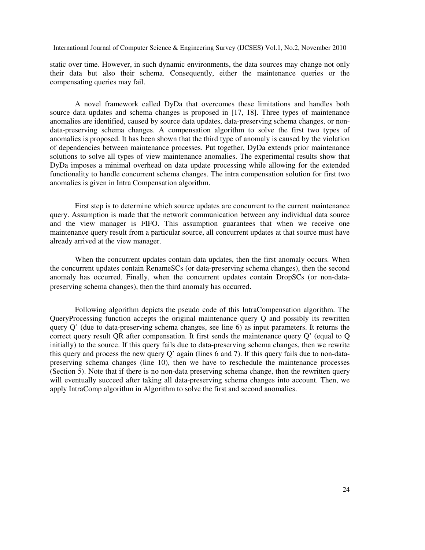static over time. However, in such dynamic environments, the data sources may change not only their data but also their schema. Consequently, either the maintenance queries or the compensating queries may fail.

A novel framework called DyDa that overcomes these limitations and handles both source data updates and schema changes is proposed in [17, 18]. Three types of maintenance anomalies are identified, caused by source data updates, data-preserving schema changes, or nondata-preserving schema changes. A compensation algorithm to solve the first two types of anomalies is proposed. It has been shown that the third type of anomaly is caused by the violation of dependencies between maintenance processes. Put together, DyDa extends prior maintenance solutions to solve all types of view maintenance anomalies. The experimental results show that DyDa imposes a minimal overhead on data update processing while allowing for the extended functionality to handle concurrent schema changes. The intra compensation solution for first two anomalies is given in Intra Compensation algorithm.

First step is to determine which source updates are concurrent to the current maintenance query. Assumption is made that the network communication between any individual data source and the view manager is FIFO. This assumption guarantees that when we receive one maintenance query result from a particular source, all concurrent updates at that source must have already arrived at the view manager.

When the concurrent updates contain data updates, then the first anomaly occurs. When the concurrent updates contain RenameSCs (or data-preserving schema changes), then the second anomaly has occurred. Finally, when the concurrent updates contain DropSCs (or non-datapreserving schema changes), then the third anomaly has occurred.

Following algorithm depicts the pseudo code of this IntraCompensation algorithm. The QueryProcessing function accepts the original maintenance query Q and possibly its rewritten query Q' (due to data-preserving schema changes, see line 6) as input parameters. It returns the correct query result QR after compensation. It first sends the maintenance query Q' (equal to Q initially) to the source. If this query fails due to data-preserving schema changes, then we rewrite this query and process the new query Q' again (lines 6 and 7). If this query fails due to non-datapreserving schema changes (line 10), then we have to reschedule the maintenance processes (Section 5). Note that if there is no non-data preserving schema change, then the rewritten query will eventually succeed after taking all data-preserving schema changes into account. Then, we apply IntraComp algorithm in Algorithm to solve the first and second anomalies.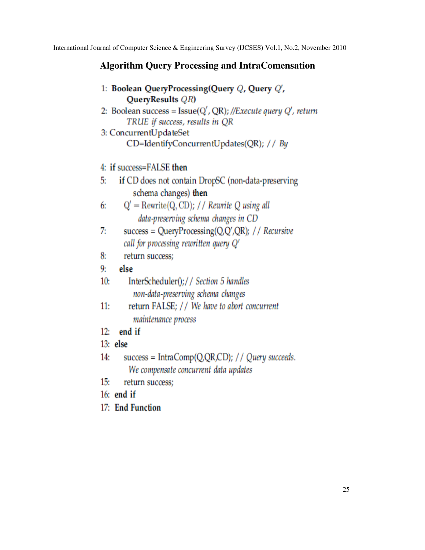## **Algorithm Query Processing and IntraComensation**

| 1: Boolean QueryProcessing(Query Q, Query Q',                                                           |
|---------------------------------------------------------------------------------------------------------|
| QueryResults QR)                                                                                        |
| 2: Boolean success = Issue( $Q'$ , QR); //Execute query $Q'$ , return<br>TRUE if success, results in QR |
| 3: ConcurrentUpdateSet                                                                                  |
| CD=IdentifyConcurrentUpdates(QR); // By                                                                 |
|                                                                                                         |
| 4: if success=FALSE then                                                                                |
| 5:<br>if CD does not contain DropSC (non-data-preserving                                                |
| schema changes) then                                                                                    |
| $Q' =$ Rewrite(Q, CD); // Rewrite Q using all<br>6:                                                     |
| data-preserving schema changes in CD                                                                    |
| success = QueryProcessing(Q,Q',QR); // Recursive<br>7:                                                  |
| call for processing rewritten query Q'                                                                  |
| 8:<br>return success;                                                                                   |
| else<br>9:                                                                                              |
| 10:<br>InterScheduler();// Section 5 handles                                                            |
| non-data-preserving schema changes                                                                      |
| return FALSE; // We have to abort concurrent<br>11:                                                     |
| maintenance process                                                                                     |
| end if<br>12:                                                                                           |
| $13:$ else                                                                                              |
| success = IntraComp(Q,QR,CD); // Query succeeds.<br>14:                                                 |
| We compensate concurrent data updates                                                                   |
| 15:<br>return success;                                                                                  |
| $16:$ end if                                                                                            |

17: End Function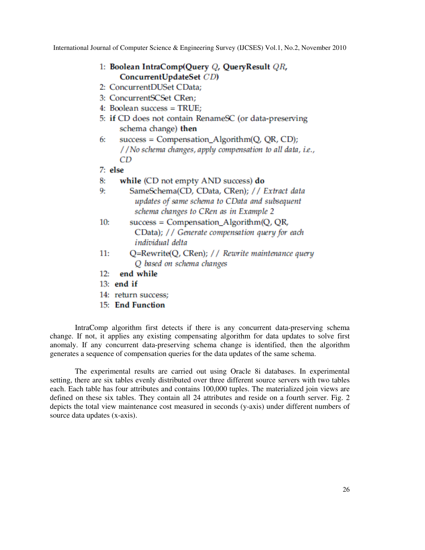- 1: Boolean IntraComp(Query  $Q$ , QueryResult  $QR$ , ConcurrentUpdateSet CD)
- 2: ConcurrentDUSet CData;
- 3: ConcurrentSCSet CRen;
- 4: Boolean success = TRUE;
- 5: if CD does not contain RenameSC (or data-preserving schema change) then
- success =  $Comparison_Algorithm(Q, QR, CD)$ ; 6: //No schema changes, apply compensation to all data, i.e., CD
- 7: else
- 8: while (CD not empty AND success) do
- SameSchema(CD, CData, CRen); // Extract data 9: updates of same schema to CData and subsequent schema changes to CRen as in Example 2
- $success = Compensation$   $Algorithm(Q, QR, )$  $10:$ CData); // Generate compensation query for each individual delta
- $11:$ Q=Rewrite(Q, CRen); // Rewrite maintenance query Q based on schema changes
- 12: end while
- $13:$  end if
- 14: return success;
- 15: End Function

IntraComp algorithm first detects if there is any concurrent data-preserving schema change. If not, it applies any existing compensating algorithm for data updates to solve first anomaly. If any concurrent data-preserving schema change is identified, then the algorithm generates a sequence of compensation queries for the data updates of the same schema.

The experimental results are carried out using Oracle 8i databases. In experimental setting, there are six tables evenly distributed over three different source servers with two tables each. Each table has four attributes and contains 100,000 tuples. The materialized join views are defined on these six tables. They contain all 24 attributes and reside on a fourth server. Fig. 2 depicts the total view maintenance cost measured in seconds (y-axis) under different numbers of source data updates (x-axis).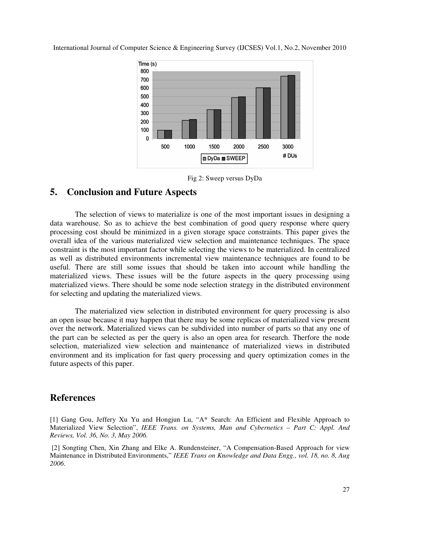

Fig 2: Sweep versus DyDa

## **5. Conclusion and Future Aspects**

The selection of views to materialize is one of the most important issues in designing a data warehouse. So as to achieve the best combination of good query response where query processing cost should be minimized in a given storage space constraints. This paper gives the overall idea of the various materialized view selection and maintenance techniques. The space constraint is the most important factor while selecting the views to be materialized. In centralized as well as distributed environments incremental view maintenance techniques are found to be useful. There are still some issues that should be taken into account while handling the materialized views. These issues will be the future aspects in the query processing using materialized views. There should be some node selection strategy in the distributed environment for selecting and updating the materialized views.

The materialized view selection in distributed environment for query processing is also an open issue because it may happen that there may be some replicas of materialized view present over the network. Materialized views can be subdivided into number of parts so that any one of the part can be selected as per the query is also an open area for research. Therfore the node selection, materialized view selection and maintenance of materialized views in distributed environment and its implication for fast query processing and query optimization comes in the future aspects of this paper.

## **References**

[1] Gang Gou, Jeffery Xu Yu and Hongjun Lu, "A\* Search: An Efficient and Flexible Approach to Materialized View Selection", *IEEE Trans. on Systems, Man and Cybernetics – Part C: Appl. And Reviews, Vol. 36, No. 3, May 2006.* 

 [2] Songting Chen, Xin Zhang and Elke A. Rundensteiner, "A Compensation-Based Approach for view Maintenance in Distributed Environments," *IEEE Trans on Knowledge and Data Engg., vol. 18, no. 8, Aug 2006.*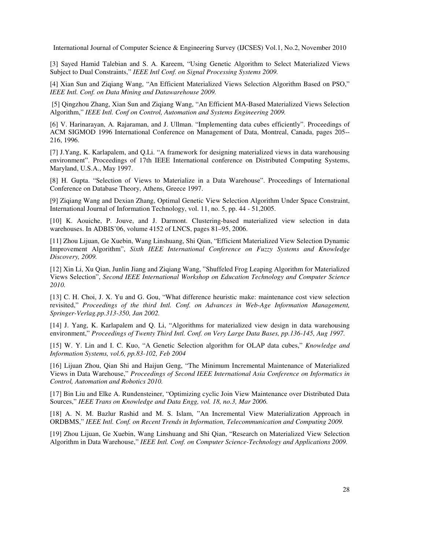[3] Sayed Hamid Talebian and S. A. Kareem, "Using Genetic Algorithm to Select Materialized Views Subject to Dual Constraints," *IEEE Intl Conf. on Signal Processing Systems 2009.* 

[4] Xian Sun and Ziqiang Wang, "An Efficient Materialized Views Selection Algorithm Based on PSO," *IEEE Intl. Conf. on Data Mining and Datawarehouse 2009.* 

 [5] Qingzhou Zhang, Xian Sun and Ziqiang Wang, "An Efficient MA-Based Materialized Views Selection Algorithm," *IEEE Intl. Conf on Control, Automation and Systems Engineering 2009.* 

[6] V. Harinarayan, A. Rajaraman, and J. Ullman. "Implementing data cubes efficiently". Proceedings of ACM SIGMOD 1996 International Conference on Management of Data, Montreal, Canada, pages 205-- 216, 1996.

[7] J.Yang, K. Karlapalem, and Q.Li. "A framework for designing materialized views in data warehousing environment". Proceedings of 17th IEEE International conference on Distributed Computing Systems, Maryland, U.S.A., May 1997.

[8] H. Gupta. "Selection of Views to Materialize in a Data Warehouse". Proceedings of International Conference on Database Theory, Athens, Greece 1997.

[9] Ziqiang Wang and Dexian Zhang, Optimal Genetic View Selection Algorithm Under Space Constraint, International Journal of Information Technology, vol. 11, no. 5, pp. 44 - 51,2005.

[10] K. Aouiche, P. Jouve, and J. Darmont. Clustering-based materialized view selection in data warehouses. In ADBIS'06, volume 4152 of LNCS, pages 81–95, 2006.

[11] Zhou Lijuan, Ge Xuebin, Wang Linshuang, Shi Qian, "Efficient Materialized View Selection Dynamic Improvement Algorithm", *Sixth IEEE International Conference on Fuzzy Systems and Knowledge Discovery, 2009.* 

[12] Xin Li, Xu Qian, Junlin Jiang and Ziqiang Wang, "Shuffeled Frog Leaping Algorithm for Materialized Views Selection", *Second IEEE International Workshop on Education Technology and Computer Science 2010.*

[13] C. H. Choi, J. X. Yu and G. Gou, "What difference heuristic make: maintenance cost view selection revisited," *Proceedings of the third Intl. Conf. on Advances in Web-Age Information Management, Springer-Verlag.pp.313-350, Jan 2002.* 

[14] J. Yang, K. Karlapalem and Q. Li, "Algorithms for materialized view design in data warehousing environment," *Proceedings of Twenty Third Intl. Conf. on Very Large Data Bases, pp.136-145, Aug 1997.* 

[15] W. Y. Lin and I. C. Kuo, "A Genetic Selection algorithm for OLAP data cubes," *Knowledge and Information Systems, vol.6, pp.83-102, Feb 2004* 

[16] Lijuan Zhou, Qian Shi and Haijun Geng, "The Minimum Incremental Maintenance of Materialized Views in Data Warehouse," *Proceedings of Second IEEE International Asia Conference on Informatics in Control, Automation and Robotics 2010.* 

[17] Bin Liu and Elke A. Rundensteiner, "Optimizing cyclic Join View Maintenance over Distributed Data Sources," *IEEE Trans on Knowledge and Data Engg, vol. 18, no.3, Mar 2006.* 

[18] A. N. M. Bazlur Rashid and M. S. Islam, "An Incremental View Materialization Approach in ORDBMS," *IEEE Intl. Conf. on Recent Trends in Information, Telecommunication and Computing 2009.* 

[19] Zhou Lijuan, Ge Xuebin, Wang Linshuang and Shi Qian, "Research on Materialized View Selection Algorithm in Data Warehouse," *IEEE Intl. Conf. on Computer Science-Technology and Applications 2009.*